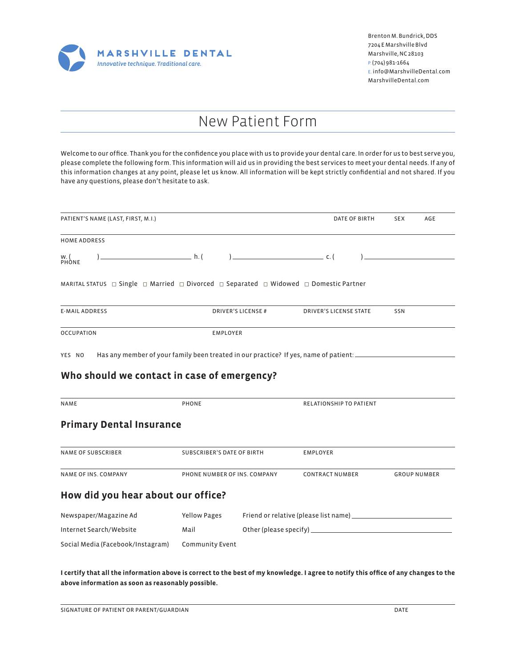

### New Patient Form

Welcome to our office. Thank you for the confidence you place with us to provide your dental care. In order for us to best serve you, please complete the following form. This information will aid us in providing the best services to meet your dental needs. If any of this information changes at any point, please let us know. All information will be kept strictly confidential and not shared. If you have any questions, please don't hesitate to ask.

| PATIENT'S NAME (LAST, FIRST, M.I.)                                                                                                                                                                                                                  |                                                                                                                     | DATE OF BIRTH                  | <b>SEX</b><br>AGE   |
|-----------------------------------------------------------------------------------------------------------------------------------------------------------------------------------------------------------------------------------------------------|---------------------------------------------------------------------------------------------------------------------|--------------------------------|---------------------|
| <b>HOME ADDRESS</b>                                                                                                                                                                                                                                 |                                                                                                                     |                                |                     |
| W. (<br>PHONE                                                                                                                                                                                                                                       | and the state of the state $h: ($ and $)$ and $h: ($                                                                |                                |                     |
|                                                                                                                                                                                                                                                     | MARITAL STATUS $\Box$ Single $\Box$ Married $\Box$ Divorced $\Box$ Separated $\Box$ Widowed $\Box$ Domestic Partner |                                |                     |
| <b>E-MAIL ADDRESS</b>                                                                                                                                                                                                                               | <b>DRIVER'S LICENSE#</b>                                                                                            | <b>DRIVER'S LICENSE STATE</b>  | SSN                 |
| <b>OCCUPATION</b>                                                                                                                                                                                                                                   | <b>EMPLOYER</b>                                                                                                     |                                |                     |
|                                                                                                                                                                                                                                                     |                                                                                                                     |                                |                     |
|                                                                                                                                                                                                                                                     |                                                                                                                     |                                |                     |
|                                                                                                                                                                                                                                                     | PHONE                                                                                                               | <b>RELATIONSHIP TO PATIENT</b> |                     |
|                                                                                                                                                                                                                                                     |                                                                                                                     |                                |                     |
|                                                                                                                                                                                                                                                     | SUBSCRIBER'S DATE OF BIRTH                                                                                          | <b>EMPLOYER</b>                |                     |
|                                                                                                                                                                                                                                                     | PHONE NUMBER OF INS. COMPANY                                                                                        | <b>CONTRACT NUMBER</b>         | <b>GROUP NUMBER</b> |
|                                                                                                                                                                                                                                                     |                                                                                                                     |                                |                     |
|                                                                                                                                                                                                                                                     | Yellow Pages                                                                                                        |                                |                     |
| Who should we contact in case of emergency?<br><b>NAME</b><br><b>Primary Dental Insurance</b><br><b>NAME OF SUBSCRIBER</b><br><b>NAME OF INS. COMPANY</b><br>How did you hear about our office?<br>Newspaper/Magazine Ad<br>Internet Search/Website | Mail                                                                                                                |                                |                     |

**I certify that all the information above is correct to the best of my knowledge. I agree to notify this office of any changes to the above information as soon as reasonably possible.**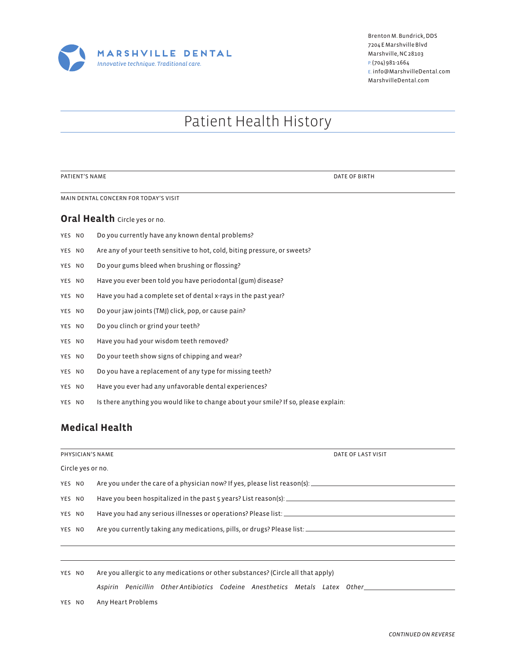

### Patient Health History

PATIENT'S NAME DATE OF BIRTH

MAIN DENTAL CONCERN FOR TODAY'S VISIT

#### **Oral Health** Circle yes or no.

- YES NO Do you currently have any known dental problems?
- YES NO Are any of your teeth sensitive to hot, cold, biting pressure, or sweets?
- YES NO Do your gums bleed when brushing or flossing?
- YES NO Have you ever been told you have periodontal (gum) disease?
- YES NO Have you had a complete set of dental x-rays in the past year?
- YES NO Do your jaw joints (TMJ) click, pop, or cause pain?
- YES NO Do you clinch or grind your teeth?
- YES NO Have you had your wisdom teeth removed?
- YES NO Do your teeth show signs of chipping and wear?
- YES NO Do you have a replacement of any type for missing teeth?
- YES NO Have you ever had any unfavorable dental experiences?
- YES NO Is there anything you would like to change about your smile? If so, please explain:

#### **Medical Health**

|                   |        | PHYSICIAN'S NAME                                                                 | DATE OF LAST VISIT |  |  |  |  |  |  |
|-------------------|--------|----------------------------------------------------------------------------------|--------------------|--|--|--|--|--|--|
| Circle yes or no. |        |                                                                                  |                    |  |  |  |  |  |  |
|                   | YES NO |                                                                                  |                    |  |  |  |  |  |  |
| YES NO            |        |                                                                                  |                    |  |  |  |  |  |  |
| YES NO            |        |                                                                                  |                    |  |  |  |  |  |  |
|                   | YES NO |                                                                                  |                    |  |  |  |  |  |  |
|                   |        |                                                                                  |                    |  |  |  |  |  |  |
|                   |        |                                                                                  |                    |  |  |  |  |  |  |
|                   | YES NO | Are you allergic to any medications or other substances? (Circle all that apply) |                    |  |  |  |  |  |  |

*Aspirin Penicillin Other Antibiotics Codeine Anesthetics Metals Latex Other*

YES NO Any Heart Problems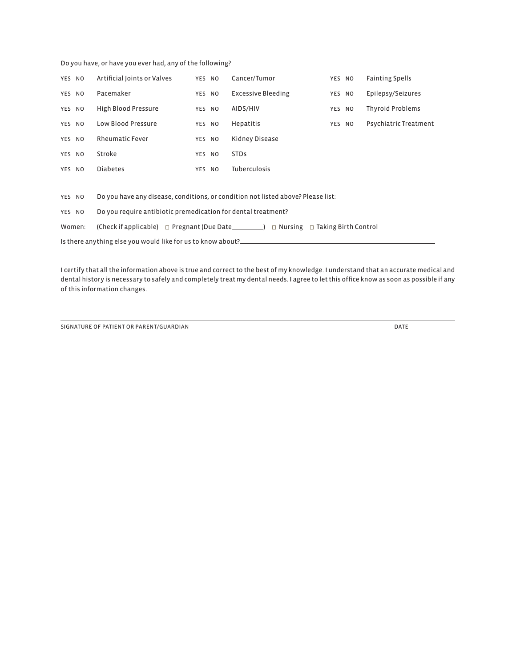Do you have, or have you ever had, any of the following?

| YES NO                                                                                                           | Artificial Joints or Valves                                                                         | YES NO |  | Cancer/Tumor              | YES NO |  | <b>Fainting Spells</b>  |  |  |  |  |
|------------------------------------------------------------------------------------------------------------------|-----------------------------------------------------------------------------------------------------|--------|--|---------------------------|--------|--|-------------------------|--|--|--|--|
| YES NO                                                                                                           | Pacemaker                                                                                           | YES NO |  | <b>Excessive Bleeding</b> | YES NO |  | Epilepsy/Seizures       |  |  |  |  |
| YES NO                                                                                                           | High Blood Pressure                                                                                 | YES NO |  | AIDS/HIV                  | YES NO |  | <b>Thyroid Problems</b> |  |  |  |  |
| YES NO                                                                                                           | Low Blood Pressure                                                                                  | YES NO |  | Hepatitis                 | YES NO |  | Psychiatric Treatment   |  |  |  |  |
| YES NO                                                                                                           | <b>Rheumatic Fever</b>                                                                              | YES NO |  | Kidney Disease            |        |  |                         |  |  |  |  |
| YES NO                                                                                                           | Stroke                                                                                              | YES NO |  | <b>STDs</b>               |        |  |                         |  |  |  |  |
| YES NO                                                                                                           | <b>Diabetes</b>                                                                                     | YES NO |  | <b>Tuberculosis</b>       |        |  |                         |  |  |  |  |
|                                                                                                                  |                                                                                                     |        |  |                           |        |  |                         |  |  |  |  |
| YES NO                                                                                                           | Do you have any disease, conditions, or condition not listed above? Please list: __________________ |        |  |                           |        |  |                         |  |  |  |  |
| YES NO                                                                                                           | Do you require antibiotic premedication for dental treatment?                                       |        |  |                           |        |  |                         |  |  |  |  |
| (Check if applicable) $\Box$ Pregnant (Due Date___________) $\Box$ Nursing $\Box$ Taking Birth Control<br>Women: |                                                                                                     |        |  |                           |        |  |                         |  |  |  |  |
| Is there anything else you would like for us to know about?_____________________                                 |                                                                                                     |        |  |                           |        |  |                         |  |  |  |  |

I certify that all the information above is true and correct to the best of my knowledge. I understand that an accurate medical and dental history is necessary to safely and completely treat my dental needs. I agree to let this office know as soon as possible if any of this information changes.

**SIGNATURE OF PATIENT OR PARENT/GUARDIAN** DATE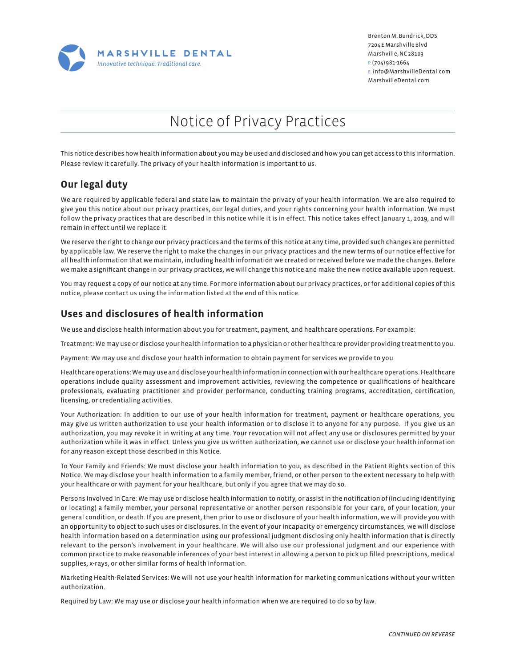

## Notice of Privacy Practices

This notice describes how health information about you may be used and disclosed and how you can get access to this information. Please review it carefully. The privacy of your health information is important to us.

#### **Our legal duty**

We are required by applicable federal and state law to maintain the privacy of your health information. We are also required to give you this notice about our privacy practices, our legal duties, and your rights concerning your health information. We must follow the privacy practices that are described in this notice while it is in effect. This notice takes effect January 1, 2019, and will remain in effect until we replace it.

We reserve the right to change our privacy practices and the terms of this notice at any time, provided such changes are permitted by applicable law. We reserve the right to make the changes in our privacy practices and the new terms of our notice effective for all health information that we maintain, including health information we created or received before we made the changes. Before we make a significant change in our privacy practices, we will change this notice and make the new notice available upon request.

You may request a copy of our notice at any time. For more information about our privacy practices, or for additional copies of this notice, please contact us using the information listed at the end of this notice.

#### **Uses and disclosures of health information**

We use and disclose health information about you for treatment, payment, and healthcare operations. For example:

Treatment: We may use or disclose your health information to a physician or other healthcare provider providing treatment to you.

Payment: We may use and disclose your health information to obtain payment for services we provide to you.

Healthcare operations: We may use and disclose your health information in connection with our healthcare operations. Healthcare operations include quality assessment and improvement activities, reviewing the competence or qualifications of healthcare professionals, evaluating practitioner and provider performance, conducting training programs, accreditation, certification, licensing, or credentialing activities.

Your Authorization: In addition to our use of your health information for treatment, payment or healthcare operations, you may give us written authorization to use your health information or to disclose it to anyone for any purpose. If you give us an authorization, you may revoke it in writing at any time. Your revocation will not affect any use or disclosures permitted by your authorization while it was in effect. Unless you give us written authorization, we cannot use or disclose your health information for any reason except those described in this Notice.

To Your Family and Friends: We must disclose your health information to you, as described in the Patient Rights section of this Notice. We may disclose your health information to a family member, friend, or other person to the extent necessary to help with your healthcare or with payment for your healthcare, but only if you agree that we may do so.

Persons Involved In Care: We may use or disclose health information to notify, or assist in the notification of (including identifying or locating) a family member, your personal representative or another person responsible for your care, of your location, your general condition, or death. If you are present, then prior to use or disclosure of your health information, we will provide you with an opportunity to object to such uses or disclosures. In the event of your incapacity or emergency circumstances, we will disclose health information based on a determination using our professional judgment disclosing only health information that is directly relevant to the person's involvement in your healthcare. We will also use our professional judgment and our experience with common practice to make reasonable inferences of your best interest in allowing a person to pick up filled prescriptions, medical supplies, x-rays, or other similar forms of health information.

Marketing Health-Related Services: We will not use your health information for marketing communications without your written authorization.

Required by Law: We may use or disclose your health information when we are required to do so by law.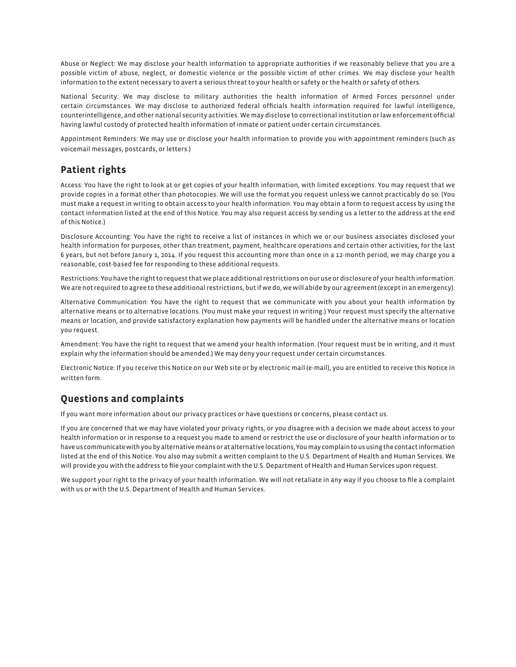Abuse or Neglect: We may disclose your health information to appropriate authorities if we reasonably believe that you are a possible victim of abuse, neglect, or domestic violence or the possible victim of other crimes. We may disclose your health information to the extent necessary to avert a serious threat to your health or safety or the health or safety of others.

National Security: We may disclose to military authorities the health information of Armed Forces personnel under certain circumstances. We may disclose to authorized federal officials health information required for lawful intelligence, counterintelligence, and other national security activities. We may disclose to correctional institution or law enforcement official having lawful custody of protected health information of inmate or patient under certain circumstances.

Appointment Reminders: We may use or disclose your health information to provide you with appointment reminders (such as voicemail messages, postcards, or letters.)

#### **Patient rights**

Access: You have the right to look at or get copies of your health information, with limited exceptions. You may request that we provide copies in a format other than photocopies. We will use the format you request unless we cannot practicably do so. (You must make a request in writing to obtain access to your health information. You may obtain a form to request access by using the contact information listed at the end of this Notice. You may also request access by sending us a letter to the address at the end of this Notice.)

Disclosure Accounting: You have the right to receive a list of instances in which we or our business associates disclosed your health information for purposes, other than treatment, payment, healthcare operations and certain other activities, for the last 6 years, but not before Janury 1, 2014. If you request this accounting more than once in a 12-month period, we may charge you a reasonable, cost-based fee for responding to these additional requests.

Restrictions: You have the right to request that we place additional restrictions on our use or disclosure of your health information. We are not required to agree to these additional restrictions, but if we do, we will abide by our agreement (except in an emergency).

Alternative Communication: You have the right to request that we communicate with you about your health information by alternative means or to alternative locations. (You must make your request in writing.) Your request must specify the alternative means or location, and provide satisfactory explanation how payments will be handled under the alternative means or location you request.

Amendment: You have the right to request that we amend your health information. (Your request must be in writing, and it must explain why the information should be amended.) We may deny your request under certain circumstances.

Electronic Notice: If you receive this Notice on our Web site or by electronic mail (e-mail), you are entitled to receive this Notice in written form.

### **Questions and complaints**

If you want more information about our privacy practices or have questions or concerns, please contact us.

If you are concerned that we may have violated your privacy rights, or you disagree with a decision we made about access to your health information or in response to a request you made to amend or restrict the use or disclosure of your health information or to have us communicate with you by alternative means or at alternative locations, You may complain to us using the contact information listed at the end of this Notice. You also may submit a written complaint to the U.S. Department of Health and Human Services. We will provide you with the address to file your complaint with the U.S. Department of Health and Human Services upon request.

We support your right to the privacy of your health information. We will not retaliate in any way if you choose to file a complaint with us or with the U.S. Department of Health and Human Services.